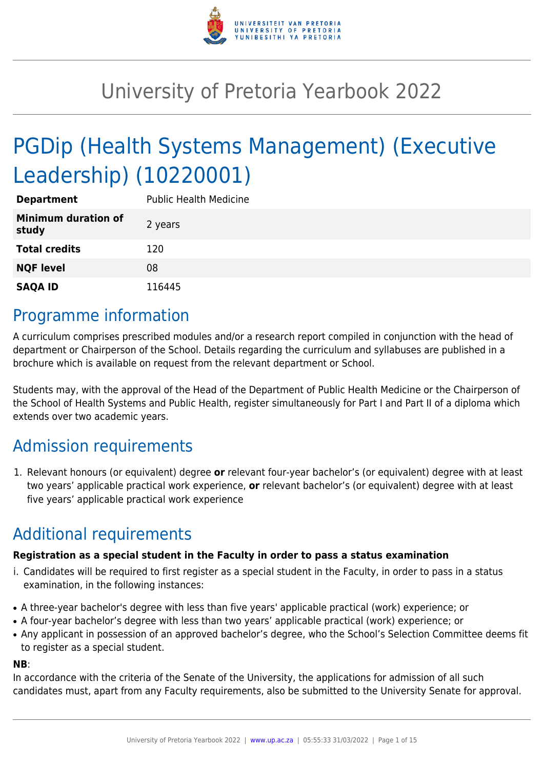

# University of Pretoria Yearbook 2022

# PGDip (Health Systems Management) (Executive Leadership) (10220001)

| <b>Department</b>                   | <b>Public Health Medicine</b> |
|-------------------------------------|-------------------------------|
| <b>Minimum duration of</b><br>study | 2 years                       |
| <b>Total credits</b>                | 120                           |
| <b>NQF level</b>                    | 08                            |
| <b>SAQA ID</b>                      | 116445                        |

### Programme information

A curriculum comprises prescribed modules and/or a research report compiled in conjunction with the head of department or Chairperson of the School. Details regarding the curriculum and syllabuses are published in a brochure which is available on request from the relevant department or School.

Students may, with the approval of the Head of the Department of Public Health Medicine or the Chairperson of the School of Health Systems and Public Health, register simultaneously for Part I and Part II of a diploma which extends over two academic years.

## Admission requirements

1. Relevant honours (or equivalent) degree **or** relevant four-year bachelor's (or equivalent) degree with at least two years' applicable practical work experience, **or** relevant bachelor's (or equivalent) degree with at least five years' applicable practical work experience

## Additional requirements

#### **Registration as a special student in the Faculty in order to pass a status examination**

- i. Candidates will be required to first register as a special student in the Faculty, in order to pass in a status examination, in the following instances:
- A three-year bachelor's degree with less than five years' applicable practical (work) experience; or
- A four-year bachelor's degree with less than two years' applicable practical (work) experience; or
- Any applicant in possession of an approved bachelor's degree, who the School's Selection Committee deems fit to register as a special student.

#### **NB**:

In accordance with the criteria of the Senate of the University, the applications for admission of all such candidates must, apart from any Faculty requirements, also be submitted to the University Senate for approval.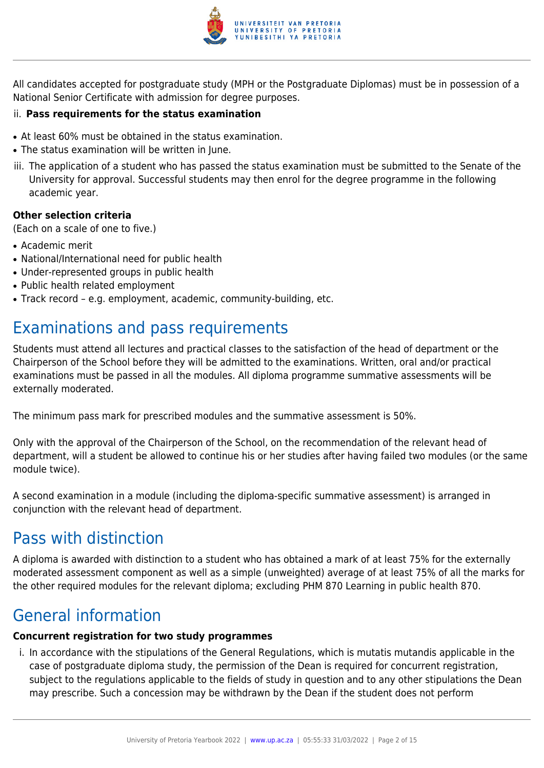

All candidates accepted for postgraduate study (MPH or the Postgraduate Diplomas) must be in possession of a National Senior Certificate with admission for degree purposes.

#### ii. **Pass requirements for the status examination**

- At least 60% must be obtained in the status examination.
- The status examination will be written in June.
- iii. The application of a student who has passed the status examination must be submitted to the Senate of the University for approval. Successful students may then enrol for the degree programme in the following academic year.

#### **Other selection criteria**

(Each on a scale of one to five.)

- Academic merit
- National/International need for public health
- Under-represented groups in public health
- Public health related employment
- Track record e.g. employment, academic, community-building, etc.

### Examinations and pass requirements

Students must attend all lectures and practical classes to the satisfaction of the head of department or the Chairperson of the School before they will be admitted to the examinations. Written, oral and/or practical examinations must be passed in all the modules. All diploma programme summative assessments will be externally moderated.

The minimum pass mark for prescribed modules and the summative assessment is 50%.

Only with the approval of the Chairperson of the School, on the recommendation of the relevant head of department, will a student be allowed to continue his or her studies after having failed two modules (or the same module twice).

A second examination in a module (including the diploma-specific summative assessment) is arranged in conjunction with the relevant head of department.

### Pass with distinction

A diploma is awarded with distinction to a student who has obtained a mark of at least 75% for the externally moderated assessment component as well as a simple (unweighted) average of at least 75% of all the marks for the other required modules for the relevant diploma; excluding PHM 870 Learning in public health 870.

### General information

#### **Concurrent registration for two study programmes**

i. In accordance with the stipulations of the General Regulations, which is mutatis mutandis applicable in the case of postgraduate diploma study, the permission of the Dean is required for concurrent registration, subject to the regulations applicable to the fields of study in question and to any other stipulations the Dean may prescribe. Such a concession may be withdrawn by the Dean if the student does not perform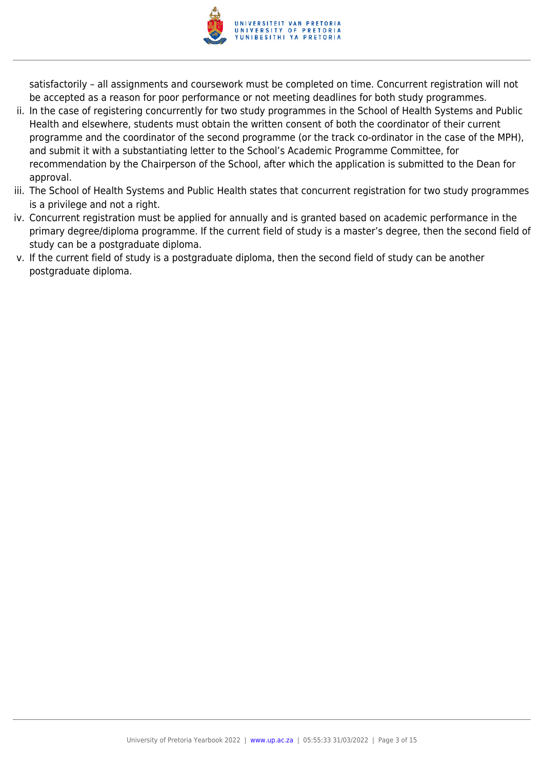

satisfactorily – all assignments and coursework must be completed on time. Concurrent registration will not be accepted as a reason for poor performance or not meeting deadlines for both study programmes.

- ii. In the case of registering concurrently for two study programmes in the School of Health Systems and Public Health and elsewhere, students must obtain the written consent of both the coordinator of their current programme and the coordinator of the second programme (or the track co-ordinator in the case of the MPH), and submit it with a substantiating letter to the School's Academic Programme Committee, for recommendation by the Chairperson of the School, after which the application is submitted to the Dean for approval.
- iii. The School of Health Systems and Public Health states that concurrent registration for two study programmes is a privilege and not a right.
- iv. Concurrent registration must be applied for annually and is granted based on academic performance in the primary degree/diploma programme. If the current field of study is a master's degree, then the second field of study can be a postgraduate diploma.
- v. If the current field of study is a postgraduate diploma, then the second field of study can be another postgraduate diploma.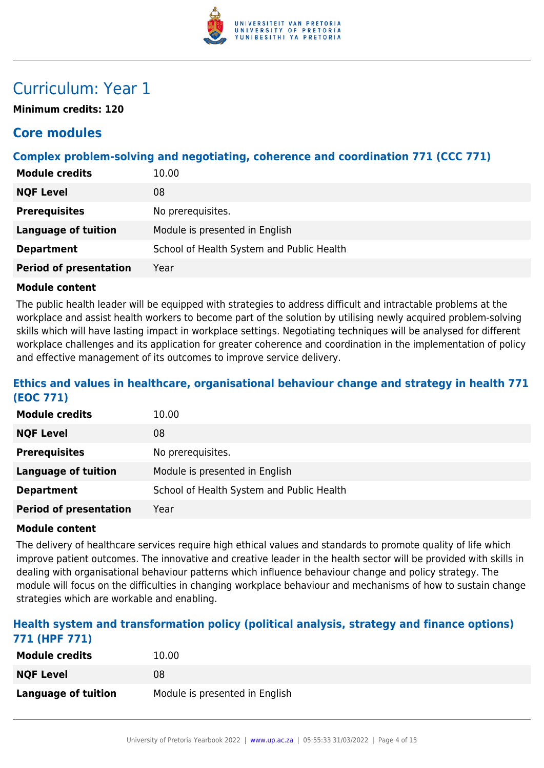

### Curriculum: Year 1

**Minimum credits: 120**

### **Core modules**

#### **Complex problem-solving and negotiating, coherence and coordination 771 (CCC 771)**

| <b>Module credits</b>         | 10.00                                     |
|-------------------------------|-------------------------------------------|
| <b>NQF Level</b>              | 08                                        |
| <b>Prerequisites</b>          | No prerequisites.                         |
| <b>Language of tuition</b>    | Module is presented in English            |
| <b>Department</b>             | School of Health System and Public Health |
| <b>Period of presentation</b> | Year                                      |

#### **Module content**

The public health leader will be equipped with strategies to address difficult and intractable problems at the workplace and assist health workers to become part of the solution by utilising newly acquired problem-solving skills which will have lasting impact in workplace settings. Negotiating techniques will be analysed for different workplace challenges and its application for greater coherence and coordination in the implementation of policy and effective management of its outcomes to improve service delivery.

#### **Ethics and values in healthcare, organisational behaviour change and strategy in health 771 (EOC 771)**

| <b>Module credits</b>         | 10.00                                     |
|-------------------------------|-------------------------------------------|
| <b>NQF Level</b>              | 08                                        |
| <b>Prerequisites</b>          | No prerequisites.                         |
| Language of tuition           | Module is presented in English            |
| <b>Department</b>             | School of Health System and Public Health |
| <b>Period of presentation</b> | Year                                      |

#### **Module content**

The delivery of healthcare services require high ethical values and standards to promote quality of life which improve patient outcomes. The innovative and creative leader in the health sector will be provided with skills in dealing with organisational behaviour patterns which influence behaviour change and policy strategy. The module will focus on the difficulties in changing workplace behaviour and mechanisms of how to sustain change strategies which are workable and enabling.

#### **Health system and transformation policy (political analysis, strategy and finance options) 771 (HPF 771)**

| <b>Module credits</b>      | 10.00                          |
|----------------------------|--------------------------------|
| <b>NQF Level</b>           | 08                             |
| <b>Language of tuition</b> | Module is presented in English |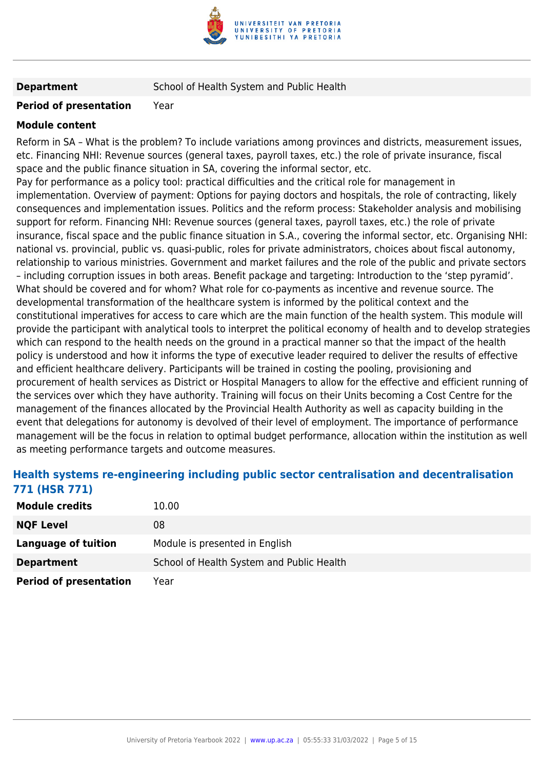

**Department** School of Health System and Public Health

#### **Period of presentation** Year

#### **Module content**

Reform in SA – What is the problem? To include variations among provinces and districts, measurement issues, etc. Financing NHI: Revenue sources (general taxes, payroll taxes, etc.) the role of private insurance, fiscal space and the public finance situation in SA, covering the informal sector, etc.

Pay for performance as a policy tool: practical difficulties and the critical role for management in implementation. Overview of payment: Options for paying doctors and hospitals, the role of contracting, likely consequences and implementation issues. Politics and the reform process: Stakeholder analysis and mobilising support for reform. Financing NHI: Revenue sources (general taxes, payroll taxes, etc.) the role of private insurance, fiscal space and the public finance situation in S.A., covering the informal sector, etc. Organising NHI: national vs. provincial, public vs. quasi-public, roles for private administrators, choices about fiscal autonomy, relationship to various ministries. Government and market failures and the role of the public and private sectors – including corruption issues in both areas. Benefit package and targeting: Introduction to the 'step pyramid'. What should be covered and for whom? What role for co-payments as incentive and revenue source. The developmental transformation of the healthcare system is informed by the political context and the constitutional imperatives for access to care which are the main function of the health system. This module will provide the participant with analytical tools to interpret the political economy of health and to develop strategies which can respond to the health needs on the ground in a practical manner so that the impact of the health policy is understood and how it informs the type of executive leader required to deliver the results of effective and efficient healthcare delivery. Participants will be trained in costing the pooling, provisioning and procurement of health services as District or Hospital Managers to allow for the effective and efficient running of the services over which they have authority. Training will focus on their Units becoming a Cost Centre for the management of the finances allocated by the Provincial Health Authority as well as capacity building in the event that delegations for autonomy is devolved of their level of employment. The importance of performance management will be the focus in relation to optimal budget performance, allocation within the institution as well as meeting performance targets and outcome measures.

#### **Health systems re-engineering including public sector centralisation and decentralisation 771 (HSR 771)**

| <b>Module credits</b>         | 10.00                                     |
|-------------------------------|-------------------------------------------|
| <b>NQF Level</b>              | 08                                        |
| Language of tuition           | Module is presented in English            |
| <b>Department</b>             | School of Health System and Public Health |
| <b>Period of presentation</b> | Year                                      |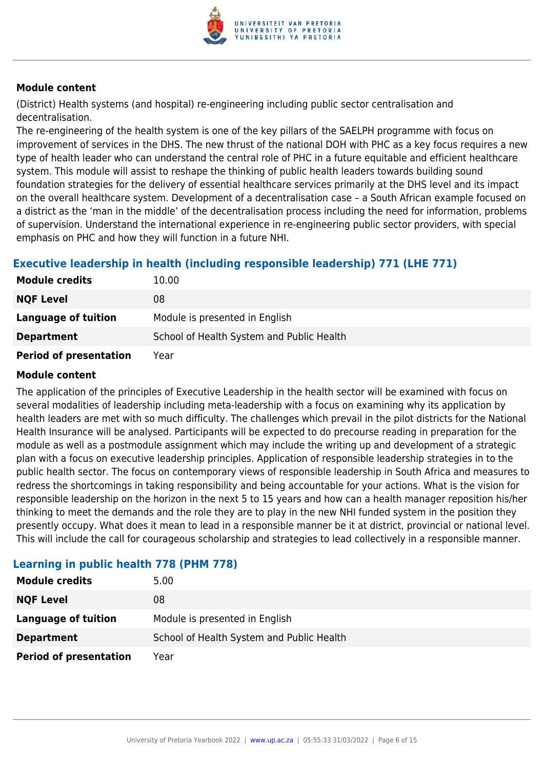

(District) Health systems (and hospital) re-engineering including public sector centralisation and decentralisation.

The re-engineering of the health system is one of the key pillars of the SAELPH programme with focus on improvement of services in the DHS. The new thrust of the national DOH with PHC as a key focus requires a new type of health leader who can understand the central role of PHC in a future equitable and efficient healthcare system. This module will assist to reshape the thinking of public health leaders towards building sound foundation strategies for the delivery of essential healthcare services primarily at the DHS level and its impact on the overall healthcare system. Development of a decentralisation case – a South African example focused on a district as the 'man in the middle' of the decentralisation process including the need for information, problems of supervision. Understand the international experience in re-engineering public sector providers, with special emphasis on PHC and how they will function in a future NHI.

#### **Executive leadership in health (including responsible leadership) 771 (LHE 771)**

| <b>Module credits</b>         | 10.00                                     |
|-------------------------------|-------------------------------------------|
| <b>NQF Level</b>              | 08                                        |
| Language of tuition           | Module is presented in English            |
| <b>Department</b>             | School of Health System and Public Health |
| <b>Period of presentation</b> | Year                                      |

#### **Module content**

The application of the principles of Executive Leadership in the health sector will be examined with focus on several modalities of leadership including meta-leadership with a focus on examining why its application by health leaders are met with so much difficulty. The challenges which prevail in the pilot districts for the National Health Insurance will be analysed. Participants will be expected to do precourse reading in preparation for the module as well as a postmodule assignment which may include the writing up and development of a strategic plan with a focus on executive leadership principles. Application of responsible leadership strategies in to the public health sector. The focus on contemporary views of responsible leadership in South Africa and measures to redress the shortcomings in taking responsibility and being accountable for your actions. What is the vision for responsible leadership on the horizon in the next 5 to 15 years and how can a health manager reposition his/her thinking to meet the demands and the role they are to play in the new NHI funded system in the position they presently occupy. What does it mean to lead in a responsible manner be it at district, provincial or national level. This will include the call for courageous scholarship and strategies to lead collectively in a responsible manner.

| <b>Module credits</b>         | 5.00                                      |
|-------------------------------|-------------------------------------------|
| <b>NQF Level</b>              | 08                                        |
| Language of tuition           | Module is presented in English            |
| <b>Department</b>             | School of Health System and Public Health |
| <b>Period of presentation</b> | Year                                      |

#### **Learning in public health 778 (PHM 778)**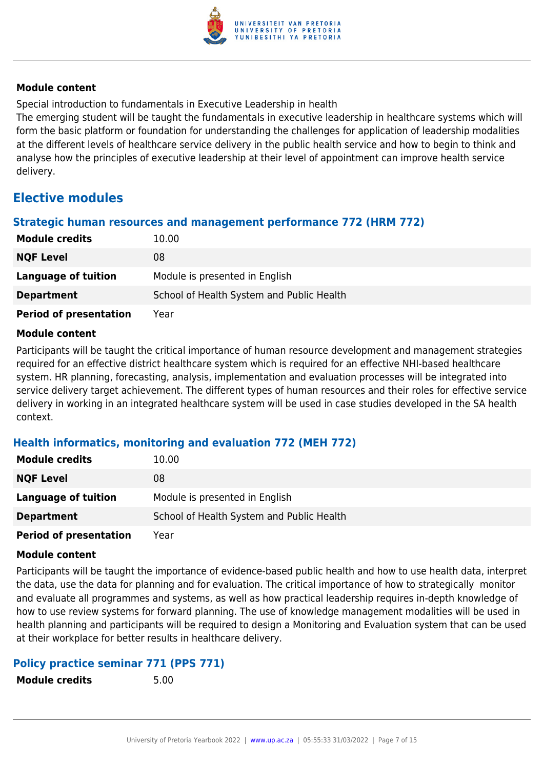

Special introduction to fundamentals in Executive Leadership in health

The emerging student will be taught the fundamentals in executive leadership in healthcare systems which will form the basic platform or foundation for understanding the challenges for application of leadership modalities at the different levels of healthcare service delivery in the public health service and how to begin to think and analyse how the principles of executive leadership at their level of appointment can improve health service delivery.

### **Elective modules**

#### **Strategic human resources and management performance 772 (HRM 772)**

| <b>Module credits</b>         | 10.00                                     |
|-------------------------------|-------------------------------------------|
| <b>NQF Level</b>              | 08                                        |
| Language of tuition           | Module is presented in English            |
| <b>Department</b>             | School of Health System and Public Health |
| <b>Period of presentation</b> | Year                                      |

#### **Module content**

Participants will be taught the critical importance of human resource development and management strategies required for an effective district healthcare system which is required for an effective NHI-based healthcare system. HR planning, forecasting, analysis, implementation and evaluation processes will be integrated into service delivery target achievement. The different types of human resources and their roles for effective service delivery in working in an integrated healthcare system will be used in case studies developed in the SA health context.

#### **Health informatics, monitoring and evaluation 772 (MEH 772)**

| <b>Module credits</b>         | 10.00                                     |
|-------------------------------|-------------------------------------------|
| <b>NQF Level</b>              | 08                                        |
| Language of tuition           | Module is presented in English            |
| <b>Department</b>             | School of Health System and Public Health |
| <b>Period of presentation</b> | Year                                      |

#### **Module content**

Participants will be taught the importance of evidence-based public health and how to use health data, interpret the data, use the data for planning and for evaluation. The critical importance of how to strategically monitor and evaluate all programmes and systems, as well as how practical leadership requires in-depth knowledge of how to use review systems for forward planning. The use of knowledge management modalities will be used in health planning and participants will be required to design a Monitoring and Evaluation system that can be used at their workplace for better results in healthcare delivery.

#### **Policy practice seminar 771 (PPS 771)**

**Module credits** 5.00

| <b>Module credits</b> |  |
|-----------------------|--|
|-----------------------|--|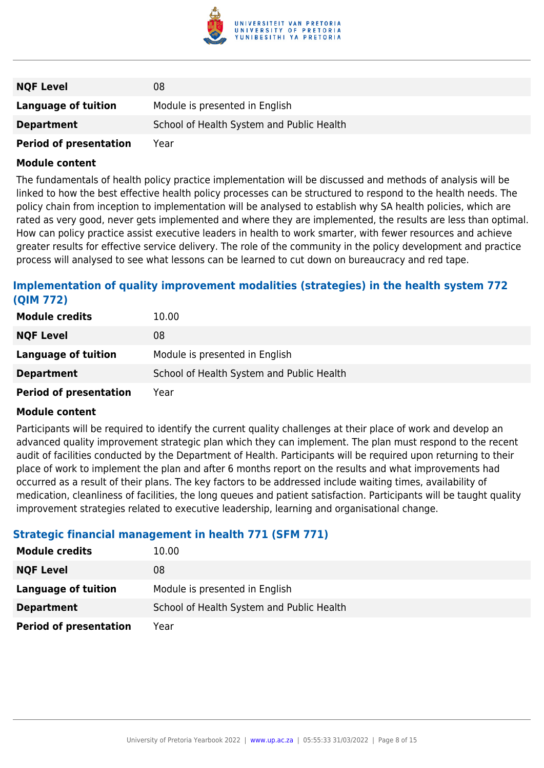

| <b>NQF Level</b>              | 08                                        |
|-------------------------------|-------------------------------------------|
| Language of tuition           | Module is presented in English            |
| <b>Department</b>             | School of Health System and Public Health |
| <b>Period of presentation</b> | Year                                      |

The fundamentals of health policy practice implementation will be discussed and methods of analysis will be linked to how the best effective health policy processes can be structured to respond to the health needs. The policy chain from inception to implementation will be analysed to establish why SA health policies, which are rated as very good, never gets implemented and where they are implemented, the results are less than optimal. How can policy practice assist executive leaders in health to work smarter, with fewer resources and achieve greater results for effective service delivery. The role of the community in the policy development and practice process will analysed to see what lessons can be learned to cut down on bureaucracy and red tape.

#### **Implementation of quality improvement modalities (strategies) in the health system 772 (QIM 772)**

| <b>Module credits</b>         | 10.00                                     |
|-------------------------------|-------------------------------------------|
| <b>NQF Level</b>              | 08                                        |
| <b>Language of tuition</b>    | Module is presented in English            |
| <b>Department</b>             | School of Health System and Public Health |
| <b>Period of presentation</b> | Year                                      |

#### **Module content**

Participants will be required to identify the current quality challenges at their place of work and develop an advanced quality improvement strategic plan which they can implement. The plan must respond to the recent audit of facilities conducted by the Department of Health. Participants will be required upon returning to their place of work to implement the plan and after 6 months report on the results and what improvements had occurred as a result of their plans. The key factors to be addressed include waiting times, availability of medication, cleanliness of facilities, the long queues and patient satisfaction. Participants will be taught quality improvement strategies related to executive leadership, learning and organisational change.

#### **Strategic financial management in health 771 (SFM 771)**

| <b>Module credits</b>         | 10.00                                     |
|-------------------------------|-------------------------------------------|
| <b>NQF Level</b>              | 08                                        |
| Language of tuition           | Module is presented in English            |
| <b>Department</b>             | School of Health System and Public Health |
| <b>Period of presentation</b> | Year                                      |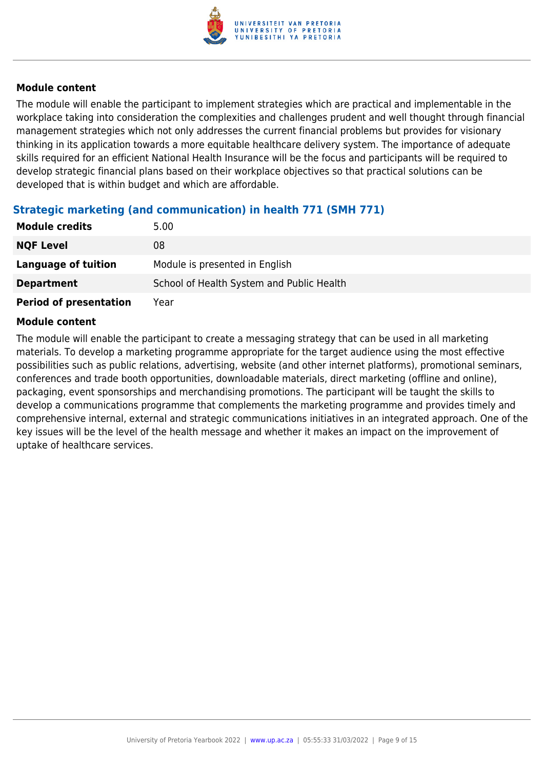

The module will enable the participant to implement strategies which are practical and implementable in the workplace taking into consideration the complexities and challenges prudent and well thought through financial management strategies which not only addresses the current financial problems but provides for visionary thinking in its application towards a more equitable healthcare delivery system. The importance of adequate skills required for an efficient National Health Insurance will be the focus and participants will be required to develop strategic financial plans based on their workplace objectives so that practical solutions can be developed that is within budget and which are affordable.

#### **Strategic marketing (and communication) in health 771 (SMH 771)**

| <b>Module credits</b>         | 5.00                                      |
|-------------------------------|-------------------------------------------|
| <b>NQF Level</b>              | 08                                        |
| Language of tuition           | Module is presented in English            |
| <b>Department</b>             | School of Health System and Public Health |
| <b>Period of presentation</b> | Year                                      |

#### **Module content**

The module will enable the participant to create a messaging strategy that can be used in all marketing materials. To develop a marketing programme appropriate for the target audience using the most effective possibilities such as public relations, advertising, website (and other internet platforms), promotional seminars, conferences and trade booth opportunities, downloadable materials, direct marketing (offline and online), packaging, event sponsorships and merchandising promotions. The participant will be taught the skills to develop a communications programme that complements the marketing programme and provides timely and comprehensive internal, external and strategic communications initiatives in an integrated approach. One of the key issues will be the level of the health message and whether it makes an impact on the improvement of uptake of healthcare services.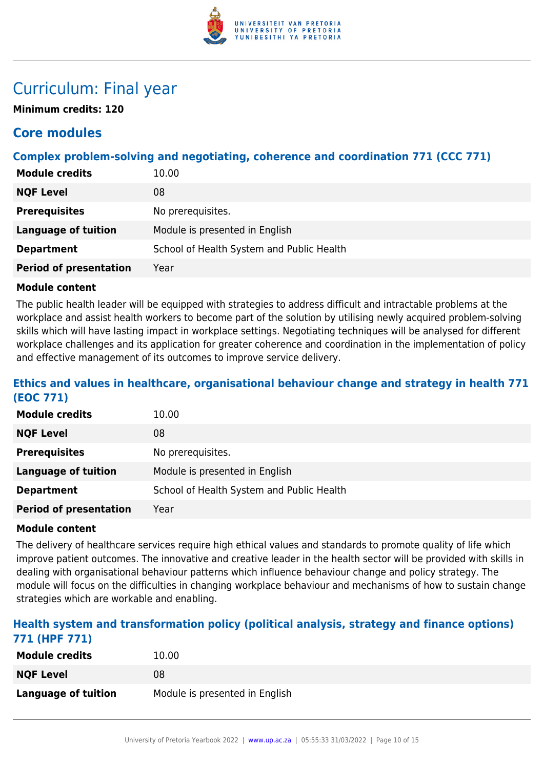

### Curriculum: Final year

**Minimum credits: 120**

### **Core modules**

#### **Complex problem-solving and negotiating, coherence and coordination 771 (CCC 771)**

| <b>Module credits</b>         | 10.00                                     |
|-------------------------------|-------------------------------------------|
| <b>NQF Level</b>              | 08                                        |
| <b>Prerequisites</b>          | No prerequisites.                         |
| <b>Language of tuition</b>    | Module is presented in English            |
| <b>Department</b>             | School of Health System and Public Health |
| <b>Period of presentation</b> | Year                                      |

#### **Module content**

The public health leader will be equipped with strategies to address difficult and intractable problems at the workplace and assist health workers to become part of the solution by utilising newly acquired problem-solving skills which will have lasting impact in workplace settings. Negotiating techniques will be analysed for different workplace challenges and its application for greater coherence and coordination in the implementation of policy and effective management of its outcomes to improve service delivery.

#### **Ethics and values in healthcare, organisational behaviour change and strategy in health 771 (EOC 771)**

| <b>Module credits</b>         | 10.00                                     |
|-------------------------------|-------------------------------------------|
| <b>NQF Level</b>              | 08                                        |
| <b>Prerequisites</b>          | No prerequisites.                         |
| Language of tuition           | Module is presented in English            |
| <b>Department</b>             | School of Health System and Public Health |
| <b>Period of presentation</b> | Year                                      |

#### **Module content**

The delivery of healthcare services require high ethical values and standards to promote quality of life which improve patient outcomes. The innovative and creative leader in the health sector will be provided with skills in dealing with organisational behaviour patterns which influence behaviour change and policy strategy. The module will focus on the difficulties in changing workplace behaviour and mechanisms of how to sustain change strategies which are workable and enabling.

#### **Health system and transformation policy (political analysis, strategy and finance options) 771 (HPF 771)**

| <b>Module credits</b>      | 10.00                          |
|----------------------------|--------------------------------|
| <b>NQF Level</b>           | 08                             |
| <b>Language of tuition</b> | Module is presented in English |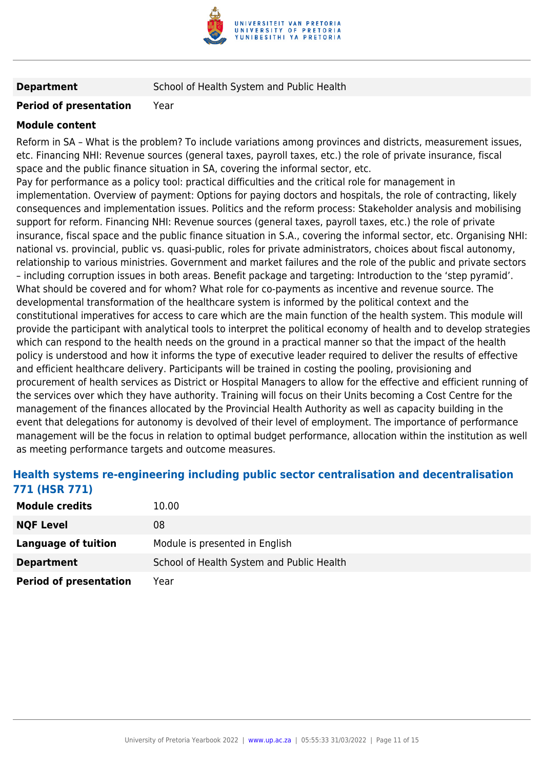

**Department** School of Health System and Public Health

#### **Period of presentation** Year

#### **Module content**

Reform in SA – What is the problem? To include variations among provinces and districts, measurement issues, etc. Financing NHI: Revenue sources (general taxes, payroll taxes, etc.) the role of private insurance, fiscal space and the public finance situation in SA, covering the informal sector, etc.

Pay for performance as a policy tool: practical difficulties and the critical role for management in implementation. Overview of payment: Options for paying doctors and hospitals, the role of contracting, likely consequences and implementation issues. Politics and the reform process: Stakeholder analysis and mobilising support for reform. Financing NHI: Revenue sources (general taxes, payroll taxes, etc.) the role of private insurance, fiscal space and the public finance situation in S.A., covering the informal sector, etc. Organising NHI: national vs. provincial, public vs. quasi-public, roles for private administrators, choices about fiscal autonomy, relationship to various ministries. Government and market failures and the role of the public and private sectors – including corruption issues in both areas. Benefit package and targeting: Introduction to the 'step pyramid'. What should be covered and for whom? What role for co-payments as incentive and revenue source. The developmental transformation of the healthcare system is informed by the political context and the constitutional imperatives for access to care which are the main function of the health system. This module will provide the participant with analytical tools to interpret the political economy of health and to develop strategies which can respond to the health needs on the ground in a practical manner so that the impact of the health policy is understood and how it informs the type of executive leader required to deliver the results of effective and efficient healthcare delivery. Participants will be trained in costing the pooling, provisioning and procurement of health services as District or Hospital Managers to allow for the effective and efficient running of the services over which they have authority. Training will focus on their Units becoming a Cost Centre for the management of the finances allocated by the Provincial Health Authority as well as capacity building in the event that delegations for autonomy is devolved of their level of employment. The importance of performance management will be the focus in relation to optimal budget performance, allocation within the institution as well as meeting performance targets and outcome measures.

#### **Health systems re-engineering including public sector centralisation and decentralisation 771 (HSR 771)**

| <b>Module credits</b>         | 10.00                                     |
|-------------------------------|-------------------------------------------|
| <b>NQF Level</b>              | 08                                        |
| Language of tuition           | Module is presented in English            |
| <b>Department</b>             | School of Health System and Public Health |
| <b>Period of presentation</b> | Year                                      |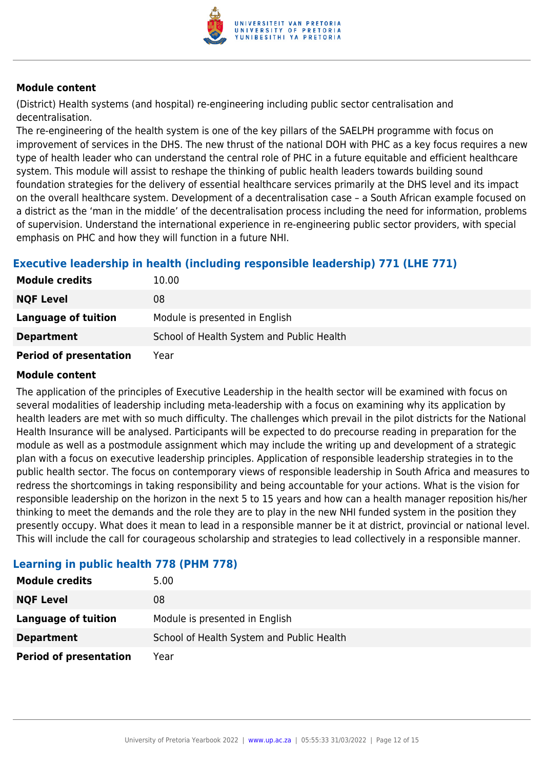

(District) Health systems (and hospital) re-engineering including public sector centralisation and decentralisation.

The re-engineering of the health system is one of the key pillars of the SAELPH programme with focus on improvement of services in the DHS. The new thrust of the national DOH with PHC as a key focus requires a new type of health leader who can understand the central role of PHC in a future equitable and efficient healthcare system. This module will assist to reshape the thinking of public health leaders towards building sound foundation strategies for the delivery of essential healthcare services primarily at the DHS level and its impact on the overall healthcare system. Development of a decentralisation case – a South African example focused on a district as the 'man in the middle' of the decentralisation process including the need for information, problems of supervision. Understand the international experience in re-engineering public sector providers, with special emphasis on PHC and how they will function in a future NHI.

#### **Executive leadership in health (including responsible leadership) 771 (LHE 771)**

| <b>Module credits</b>         | 10.00                                     |
|-------------------------------|-------------------------------------------|
| <b>NQF Level</b>              | 08                                        |
| Language of tuition           | Module is presented in English            |
| <b>Department</b>             | School of Health System and Public Health |
| <b>Period of presentation</b> | Year                                      |

#### **Module content**

The application of the principles of Executive Leadership in the health sector will be examined with focus on several modalities of leadership including meta-leadership with a focus on examining why its application by health leaders are met with so much difficulty. The challenges which prevail in the pilot districts for the National Health Insurance will be analysed. Participants will be expected to do precourse reading in preparation for the module as well as a postmodule assignment which may include the writing up and development of a strategic plan with a focus on executive leadership principles. Application of responsible leadership strategies in to the public health sector. The focus on contemporary views of responsible leadership in South Africa and measures to redress the shortcomings in taking responsibility and being accountable for your actions. What is the vision for responsible leadership on the horizon in the next 5 to 15 years and how can a health manager reposition his/her thinking to meet the demands and the role they are to play in the new NHI funded system in the position they presently occupy. What does it mean to lead in a responsible manner be it at district, provincial or national level. This will include the call for courageous scholarship and strategies to lead collectively in a responsible manner.

| <b>Module credits</b>         | 5.00                                      |
|-------------------------------|-------------------------------------------|
| <b>NQF Level</b>              | 08                                        |
| Language of tuition           | Module is presented in English            |
| <b>Department</b>             | School of Health System and Public Health |
| <b>Period of presentation</b> | Year                                      |

#### **Learning in public health 778 (PHM 778)**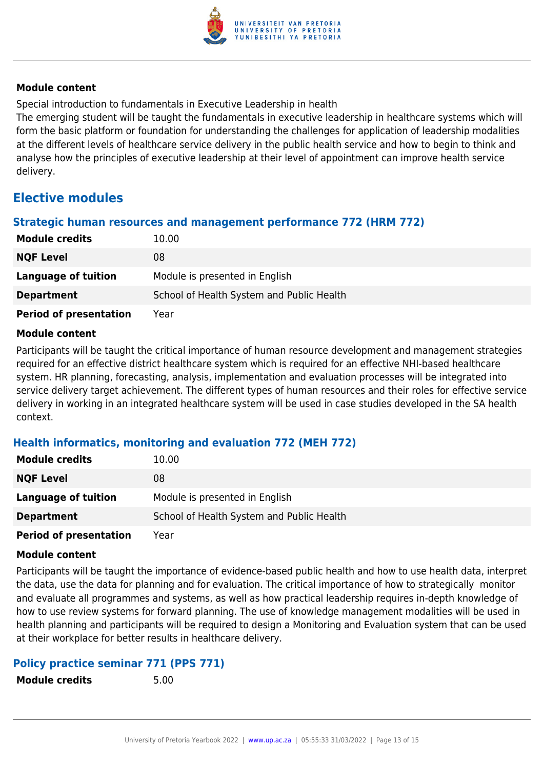

Special introduction to fundamentals in Executive Leadership in health

The emerging student will be taught the fundamentals in executive leadership in healthcare systems which will form the basic platform or foundation for understanding the challenges for application of leadership modalities at the different levels of healthcare service delivery in the public health service and how to begin to think and analyse how the principles of executive leadership at their level of appointment can improve health service delivery.

### **Elective modules**

#### **Strategic human resources and management performance 772 (HRM 772)**

| <b>Module credits</b>         | 10.00                                     |
|-------------------------------|-------------------------------------------|
| <b>NQF Level</b>              | 08                                        |
| Language of tuition           | Module is presented in English            |
| <b>Department</b>             | School of Health System and Public Health |
| <b>Period of presentation</b> | Year                                      |

#### **Module content**

Participants will be taught the critical importance of human resource development and management strategies required for an effective district healthcare system which is required for an effective NHI-based healthcare system. HR planning, forecasting, analysis, implementation and evaluation processes will be integrated into service delivery target achievement. The different types of human resources and their roles for effective service delivery in working in an integrated healthcare system will be used in case studies developed in the SA health context.

#### **Health informatics, monitoring and evaluation 772 (MEH 772)**

| <b>Module credits</b>         | 10.00                                     |
|-------------------------------|-------------------------------------------|
| <b>NQF Level</b>              | 08                                        |
| Language of tuition           | Module is presented in English            |
| <b>Department</b>             | School of Health System and Public Health |
| <b>Period of presentation</b> | Year                                      |

#### **Module content**

Participants will be taught the importance of evidence-based public health and how to use health data, interpret the data, use the data for planning and for evaluation. The critical importance of how to strategically monitor and evaluate all programmes and systems, as well as how practical leadership requires in-depth knowledge of how to use review systems for forward planning. The use of knowledge management modalities will be used in health planning and participants will be required to design a Monitoring and Evaluation system that can be used at their workplace for better results in healthcare delivery.

#### **Policy practice seminar 771 (PPS 771)**

**Module credits** 5.00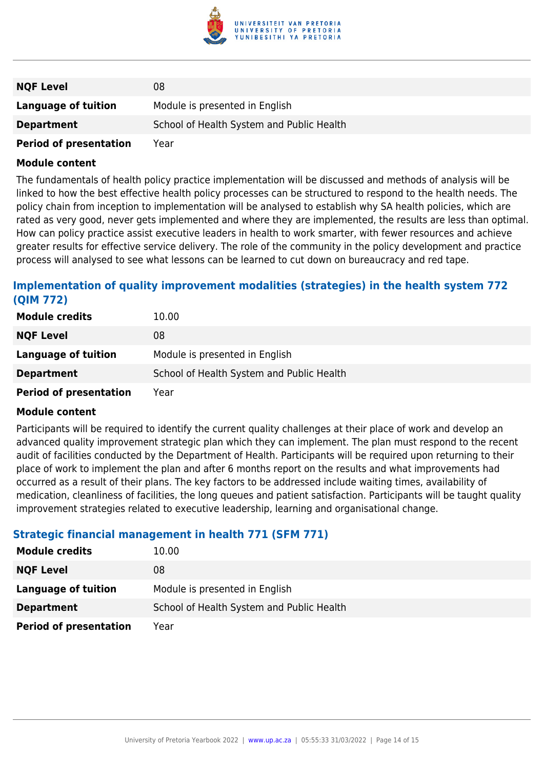

| <b>NQF Level</b>              | 08                                        |
|-------------------------------|-------------------------------------------|
| Language of tuition           | Module is presented in English            |
| <b>Department</b>             | School of Health System and Public Health |
| <b>Period of presentation</b> | Year                                      |

The fundamentals of health policy practice implementation will be discussed and methods of analysis will be linked to how the best effective health policy processes can be structured to respond to the health needs. The policy chain from inception to implementation will be analysed to establish why SA health policies, which are rated as very good, never gets implemented and where they are implemented, the results are less than optimal. How can policy practice assist executive leaders in health to work smarter, with fewer resources and achieve greater results for effective service delivery. The role of the community in the policy development and practice process will analysed to see what lessons can be learned to cut down on bureaucracy and red tape.

#### **Implementation of quality improvement modalities (strategies) in the health system 772 (QIM 772)**

| <b>Module credits</b>         | 10.00                                     |
|-------------------------------|-------------------------------------------|
| <b>NQF Level</b>              | 08                                        |
| <b>Language of tuition</b>    | Module is presented in English            |
| <b>Department</b>             | School of Health System and Public Health |
| <b>Period of presentation</b> | Year                                      |

#### **Module content**

Participants will be required to identify the current quality challenges at their place of work and develop an advanced quality improvement strategic plan which they can implement. The plan must respond to the recent audit of facilities conducted by the Department of Health. Participants will be required upon returning to their place of work to implement the plan and after 6 months report on the results and what improvements had occurred as a result of their plans. The key factors to be addressed include waiting times, availability of medication, cleanliness of facilities, the long queues and patient satisfaction. Participants will be taught quality improvement strategies related to executive leadership, learning and organisational change.

#### **Strategic financial management in health 771 (SFM 771)**

| <b>Module credits</b>         | 10.00                                     |
|-------------------------------|-------------------------------------------|
| <b>NQF Level</b>              | 08                                        |
| Language of tuition           | Module is presented in English            |
| <b>Department</b>             | School of Health System and Public Health |
| <b>Period of presentation</b> | Year                                      |